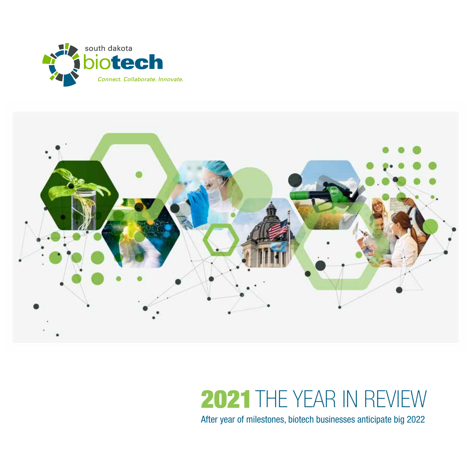



# 2021THE YEAR IN REVIEW

After year of milestones, biotech businesses anticipate big 2022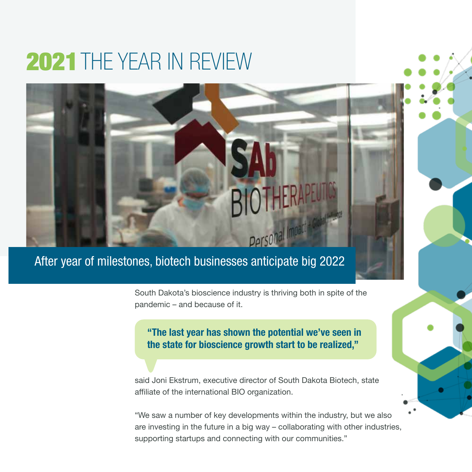## 2021THE YEAR IN REVIEW

### After year of milestones, biotech businesses anticipate big 2022

South Dakota's bioscience industry is thriving both in spite of the pandemic – and because of it.

"The last year has shown the potential we've seen in the state for bioscience growth start to be realized,"

said Joni Ekstrum, executive director of South Dakota Biotech, state affiliate of the international BIO organization.

"We saw a number of key developments within the industry, but we also are investing in the future in a big way – collaborating with other industries, supporting startups and connecting with our communities."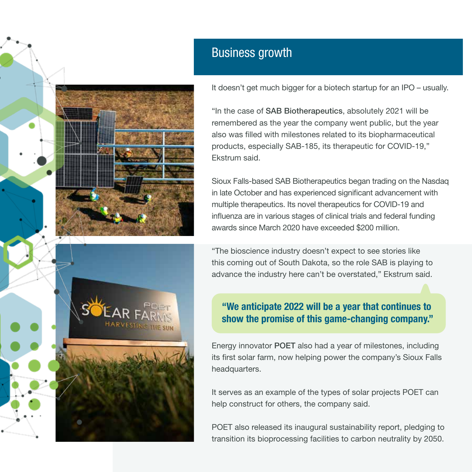

It doesn't get much bigger for a biotech startup for an IPO – usually.

"In the case of SAB Biotherapeutics, absolutely 2021 will be remembered as the year the company went public, but the year also was filled with milestones related to its biopharmaceutical products, especially SAB-185, its therapeutic for COVID-19," Ekstrum said.

Sioux Falls-based SAB Biotherapeutics began trading on the Nasdaq in late October and has experienced significant advancement with multiple therapeutics. Its novel therapeutics for COVID-19 and influenza are in various stages of clinical trials and federal funding awards since March 2020 have exceeded \$200 million.

"The bioscience industry doesn't expect to see stories like this coming out of South Dakota, so the role SAB is playing to advance the industry here can't be overstated," Ekstrum said.

#### "We anticipate 2022 will be a year that continues to show the promise of this game-changing company."

Energy innovator POET also had a year of milestones, including its first solar farm, now helping power the company's Sioux Falls headquarters.

It serves as an example of the types of solar projects POET can help construct for others, the company said.

POET also released its inaugural sustainability report, pledging to transition its bioprocessing facilities to carbon neutrality by 2050.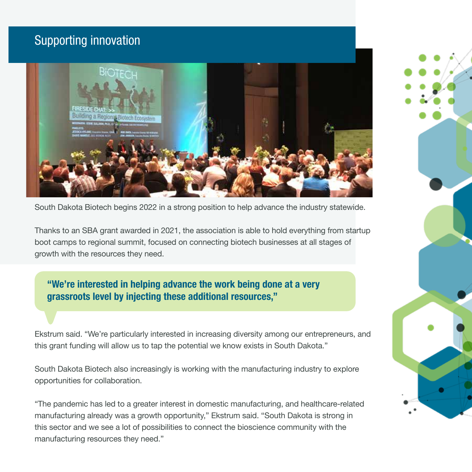### Supporting innovation



South Dakota Biotech begins 2022 in a strong position to help advance the industry statewide.

Thanks to an SBA grant awarded in 2021, the association is able to hold everything from startup boot camps to regional summit, focused on connecting biotech businesses at all stages of growth with the resources they need.

"We're interested in helping advance the work being done at a very grassroots level by injecting these additional resources,"

Ekstrum said. "We're particularly interested in increasing diversity among our entrepreneurs, and this grant funding will allow us to tap the potential we know exists in South Dakota."

South Dakota Biotech also increasingly is working with the manufacturing industry to explore opportunities for collaboration.

"The pandemic has led to a greater interest in domestic manufacturing, and healthcare-related manufacturing already was a growth opportunity," Ekstrum said. "South Dakota is strong in this sector and we see a lot of possibilities to connect the bioscience community with the manufacturing resources they need."

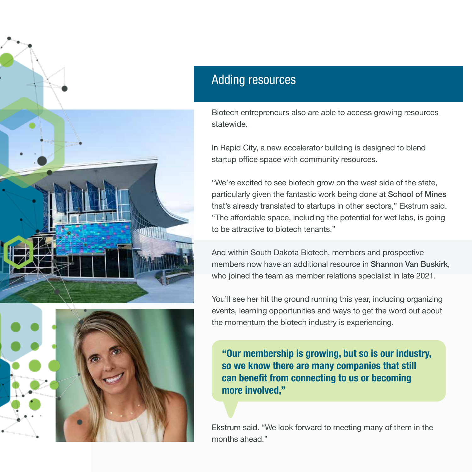



#### Adding resources

Biotech entrepreneurs also are able to access growing resources statewide.

In Rapid City, a new accelerator building is designed to blend startup office space with community resources.

"We're excited to see biotech grow on the west side of the state, particularly given the fantastic work being done at School of Mines that's already translated to startups in other sectors," Ekstrum said. "The affordable space, including the potential for wet labs, is going to be attractive to biotech tenants."

And within South Dakota Biotech, members and prospective members now have an additional resource in Shannon Van Buskirk, who joined the team as member relations specialist in late 2021.

You'll see her hit the ground running this year, including organizing events, learning opportunities and ways to get the word out about the momentum the biotech industry is experiencing.

"Our membership is growing, but so is our industry, so we know there are many companies that still can benefit from connecting to us or becoming more involved,"

Ekstrum said. "We look forward to meeting many of them in the months ahead."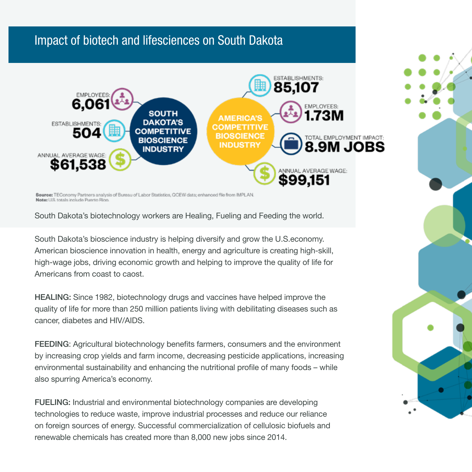#### Impact of biotech and lifesciences on South Dakota



Source: TEConomy Partners analysis of Bureau of Labor Statistics, QCEW data; enhanced file from IMPLAN. Note: U.S. totals include Puerto Rioo.

South Dakota's biotechnology workers are Healing, Fueling and Feeding the world.

South Dakota's bioscience industry is helping diversify and grow the U.S.economy. American bioscience innovation in health, energy and agriculture is creating high-skill, high-wage jobs, driving economic growth and helping to improve the quality of life for Americans from coast to caost.

HEALING: Since 1982, biotechnology drugs and vaccines have helped improve the quality of life for more than 250 million patients living with debilitating diseases such as cancer, diabetes and HIV/AIDS.

FEEDING: Agricultural biotechnology benefits farmers, consumers and the environment by increasing crop yields and farm income, decreasing pesticide applications, increasing environmental sustainability and enhancing the nutritional profile of many foods – while also spurring America's economy.

FUELING: Industrial and environmental biotechnology companies are developing technologies to reduce waste, improve industrial processes and reduce our reliance on foreign sources of energy. Successful commercialization of cellulosic biofuels and renewable chemicals has created more than 8,000 new jobs since 2014.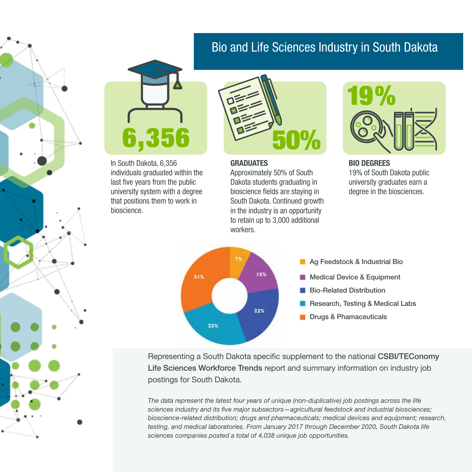#### Bio and Life Sciences Industry in South Dakota



In South Dakota, 6,356 individuals graduated within the last five years from the public university system with a degree that positions them to work in bioscience.



#### GRADUATES

Approximately 50% of South Dakota students graduating in bioscience fields are staying in South Dakota. Continued growth in the industry is an opportunity to retain up to 3,000 additional workers.



BIO DEGREES 19% of South Dakota public university graduates earn a degree in the biosciences.





- **Medical Device & Equipment**
- Bio-Related Distribution
- Research, Testing & Medical Labs
- Drugs & Phamaceuticals

Representing a South Dakota specific supplement to the national CSBI/TEConomy Life Sciences Workforce Trends report and summary information on industry job postings for South Dakota.

*The data represent the latest four years of unique (non-duplicative) job postings across the life sciences industry and its five major subsectors—agricultural feedstock and industrial biosciences; bioscience-related distribution; drugs and pharmaceuticals; medical devices and equipment; research, testing, and medical laboratories. From January 2017 through December 2020, South Dakota life sciences companies posted a total of 4,038 unique job opportunities.*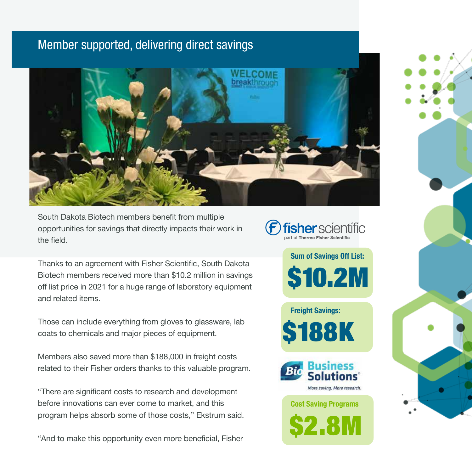### Member supported, delivering direct savings



South Dakota Biotech members benefit from multiple opportunities for savings that directly impacts their work in the field.

**Fisher** scientific

Sum of Savings Off List:

\$10.2M

Thanks to an agreement with Fisher Scientific, South Dakota Biotech members received more than \$10.2 million in savings off list price in 2021 for a huge range of laboratory equipment and related items.

Those can include everything from gloves to glassware, lab coats to chemicals and major pieces of equipment.

Members also saved more than \$188,000 in freight costs related to their Fisher orders thanks to this valuable program.

"There are significant costs to research and development before innovations can ever come to market, and this program helps absorb some of those costs," Ekstrum said.

"And to make this opportunity even more beneficial, Fisher

Freight Savings: **88K** 



Cost Saving Programs

\$2.8M